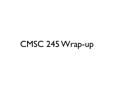# CMSC 245 Wrap-up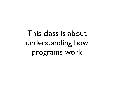# This class is about understanding how programs work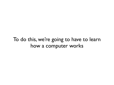### To do this, we're going to have to learn how a computer works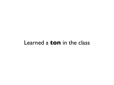### Learned a **ton** in the class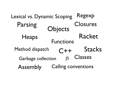Lexical vs. Dynamic Scoping Closures Heaps **Stacks** Assembly Calling conventions Functions Objects Classes Method dispatch  $C++$ Racket Parsing Regexp Garbage collection JS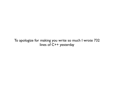To apologize for making you write so much I wrote 732 lines of C++ yesterday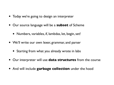- Today we're going to design an interpreter
- Our source language will be a **subset** of Scheme
	- Numbers, variables, if, lambdas, let, begin, set!
- We'll write our own lexer, grammar, and parser
	- Starting from what you already wrote in labs
- Our interpreter will use **data structures** from the course
- And will include **garbage collection** under the hood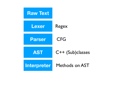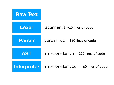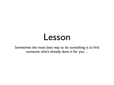# Lesson

Sometimes the most best way to do something is to find someone who's already done it for you…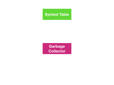#### **Symbol Table**

**Garbage Collector**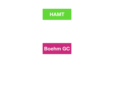

### **Boehm GC**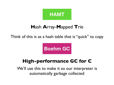

### **H**ash **A**rray-**M**apped **T**rie

Think of this is as a hash table that is "quick" to copy

**Boehm GC**

### **High-performance GC for C**

We'll use this to make it so our interpreter is automatically garbage collected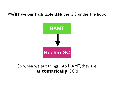#### We'll have our hash table **use** the GC under the hood



#### So when we put things into HAMT, they are **automatically** GC'd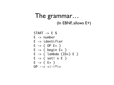### The grammar… (In EBNF, allows E+)

```
START \rightarrow E \E -> number
E -> identifier
E \rightarrow (OP E + )E \rightarrow ( begin E + )
E \rightarrow ( lambda (ID+) E )E \rightarrow ( set! \times E )
E \rightarrow (E + )OP \longrightarrow +|-|*|
```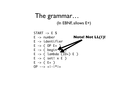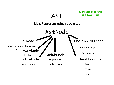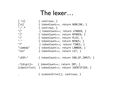## The lexer…

| $[\ \setminus t]$                 | $\{$ continue; $\}$                               |
|-----------------------------------|---------------------------------------------------|
| $\lceil \n\ln \rceil$             | { tokenCount++; return NEWLINE; }                 |
| $\frac{11}{2}$ . $\frac{11}{2}$ . | { $continue;$ }                                   |
| $"$ ("                            | { tokenCount++; return LPAREN; }                  |
| $"$ )"                            | { tokenCount++; return RPAREN; }                  |
| $"$ + $"$                         | { tokenCount++; return PLUS; }                    |
| $\mathbf{u}$ $\mathbf{u}$         | { tokenCount++; return MINUS; }                   |
| $\mathbf{u}$ * $\mathbf{u}$       | { tokenCount++; return TIMES; }                   |
| "lambda"                          | { tokenCount++; return LAMBDA; }                  |
| "let"                             | { tokenCount++; return LET; }                     |
| $"$ <eof> <math>"</math></eof>    | { tokenCount++; return END_OF_INPUT; }            |
|                                   | -?{digit}+ { tokenCount++; return INT; }          |
|                                   | {identifier} { tokenCount++; return IDENTIFIER; } |
|                                   | { scannerError(); continue; }                     |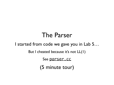## The Parser

I started from code we gave you in Lab 5…

But I cheated because it's not LL(1)

See [parser.cc](http://parser.cc)

(5 minute tour)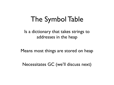# The Symbol Table

Is a dictionary that takes strings to addresses in the heap

Means most things are stored on heap

Necessitates GC (we'll discuss next)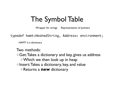# The Symbol Table

Wrapper for strings Representation of pointers

typedef hamt<HashedString, Address> environment;

HAMT is a dictionary

Two methods:

Get: Takes a dictionary and key, gives us address Which we then look up in heap **Insert: Takes a dictionary, key, and value** Returns a **new** dictionary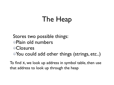# The Heap

Stores two possible things: Plain old numbers *<del>*Closures</sub></del> You could add other things (strings, etc..)

To find x, we look up address in symbol table, then use that address to look up through the heap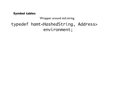Wrapper around std::string

typedef hamt<HashedString, Address> environment;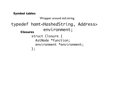typedef hamt<HashedString, Address> environment; Wrapper around std::string struct Closure { AstNode \*function; environment \*environment; }; **Closures**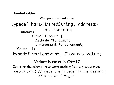#### typedef hamt<HashedString, Address> environment; Wrapper around std::string struct Closure { AstNode \*function; environment \*environment; Values **3**; **Closures** typedef variant<int, Closure> value;

#### Variant is **new** in C++17

Container that allows me to store anything from any set of types get<int> $(x)$  // gets the integer value assuming // x is an integer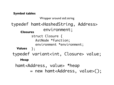hamt<Address, value> \*heap = new hamt<Address, value>(); typedef hamt<HashedString, Address> environment; Wrapper around std::string struct Closure { AstNode \*function; environment \*environment; Values **3**; **Closures** typedef variant<int, Closure> value; **Heap**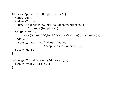```
Address *putValueInHeap(value v) {
   heapSize++;
  Address* addr = new ((Address*)GC_MALLOC(sizeof(Address))) 
           Address({heapSize});
  value * val = new ((value*)GC_MALLOC(sizeof(value))) value(v));
  heap = const_cast<hamt<Address, value> *>
                      (heap->insert(addr,val));
   return addr;
}
value getValueFromHeap(Address a) {
   return *heap->get(&a);
}
```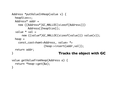```
Address *putValueInHeap(value v) {
   heapSize++;
   Address* addr =
     new ((Address*)GC_MALLOC(sizeof(Address))) 
           Address({heapSize});
  value * val = new ((value*)GC_MALLOC(sizeof(value))) value(v));
  heap = const_cast<hamt<Address, value> *>
                      (heap->insert(addr,val));
   return addr;
}
```
#### **Tracks the object with GC**

```
value getValueFromHeap(Address a) {
   return *heap->get(&a);
}
```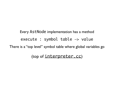Every AstNode implementation has a method execute : symbol table —> value There is a "top level" symbol table where global variables go (top of [interpreter.cc](http://interpreter.cc))